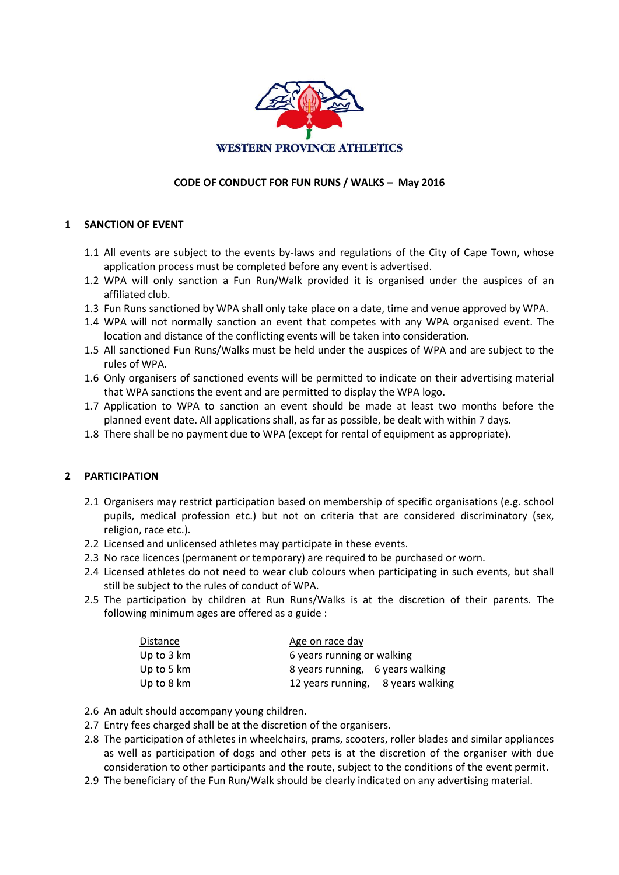

## **CODE OF CONDUCT FOR FUN RUNS / WALKS – May 2016**

#### **1 SANCTION OF EVENT**

- 1.1 All events are subject to the events by-laws and regulations of the City of Cape Town, whose application process must be completed before any event is advertised.
- 1.2 WPA will only sanction a Fun Run/Walk provided it is organised under the auspices of an affiliated club.
- 1.3 Fun Runs sanctioned by WPA shall only take place on a date, time and venue approved by WPA.
- 1.4 WPA will not normally sanction an event that competes with any WPA organised event. The location and distance of the conflicting events will be taken into consideration.
- 1.5 All sanctioned Fun Runs/Walks must be held under the auspices of WPA and are subject to the rules of WPA.
- 1.6 Only organisers of sanctioned events will be permitted to indicate on their advertising material that WPA sanctions the event and are permitted to display the WPA logo.
- 1.7 Application to WPA to sanction an event should be made at least two months before the planned event date. All applications shall, as far as possible, be dealt with within 7 days.
- 1.8 There shall be no payment due to WPA (except for rental of equipment as appropriate).

#### **2 PARTICIPATION**

- 2.1 Organisers may restrict participation based on membership of specific organisations (e.g. school pupils, medical profession etc.) but not on criteria that are considered discriminatory (sex, religion, race etc.).
- 2.2 Licensed and unlicensed athletes may participate in these events.
- 2.3 No race licences (permanent or temporary) are required to be purchased or worn.
- 2.4 Licensed athletes do not need to wear club colours when participating in such events, but shall still be subject to the rules of conduct of WPA.
- 2.5 The participation by children at Run Runs/Walks is at the discretion of their parents. The following minimum ages are offered as a guide :

| Distance             | Age on race day                   |
|----------------------|-----------------------------------|
| Up to $3 \text{ km}$ | 6 years running or walking        |
| Up to 5 $km$         | 8 years running, 6 years walking  |
| Up to $8 \text{ km}$ | 12 years running, 8 years walking |

- 2.6 An adult should accompany young children.
- 2.7 Entry fees charged shall be at the discretion of the organisers.
- 2.8 The participation of athletes in wheelchairs, prams, scooters, roller blades and similar appliances as well as participation of dogs and other pets is at the discretion of the organiser with due consideration to other participants and the route, subject to the conditions of the event permit.
- 2.9 The beneficiary of the Fun Run/Walk should be clearly indicated on any advertising material.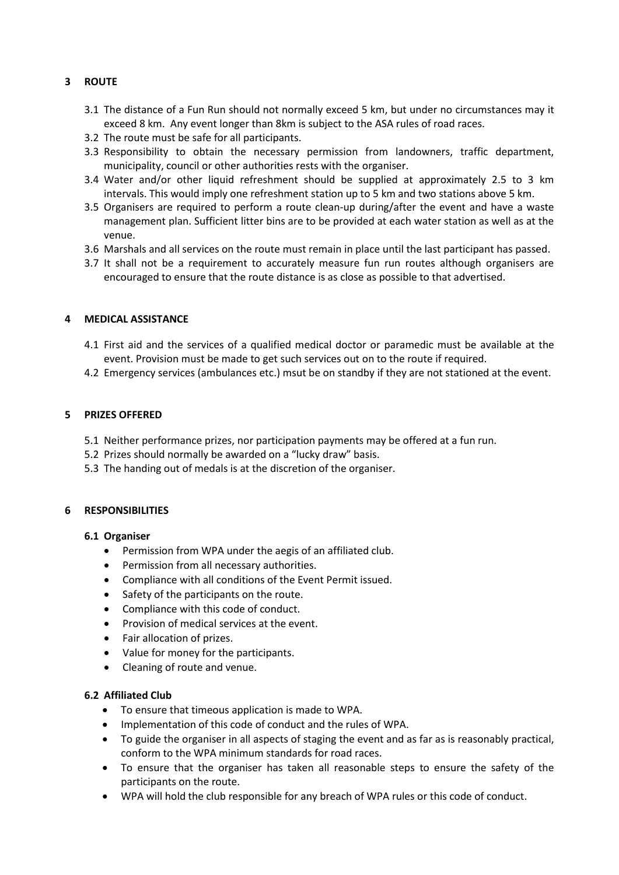# **3 ROUTE**

- 3.1 The distance of a Fun Run should not normally exceed 5 km, but under no circumstances may it exceed 8 km. Any event longer than 8km is subject to the ASA rules of road races.
- 3.2 The route must be safe for all participants.
- 3.3 Responsibility to obtain the necessary permission from landowners, traffic department, municipality, council or other authorities rests with the organiser.
- 3.4 Water and/or other liquid refreshment should be supplied at approximately 2.5 to 3 km intervals. This would imply one refreshment station up to 5 km and two stations above 5 km.
- 3.5 Organisers are required to perform a route clean-up during/after the event and have a waste management plan. Sufficient litter bins are to be provided at each water station as well as at the venue.
- 3.6 Marshals and all services on the route must remain in place until the last participant has passed.
- 3.7 It shall not be a requirement to accurately measure fun run routes although organisers are encouraged to ensure that the route distance is as close as possible to that advertised.

#### **4 MEDICAL ASSISTANCE**

- 4.1 First aid and the services of a qualified medical doctor or paramedic must be available at the event. Provision must be made to get such services out on to the route if required.
- 4.2 Emergency services (ambulances etc.) msut be on standby if they are not stationed at the event.

### **5 PRIZES OFFERED**

- 5.1 Neither performance prizes, nor participation payments may be offered at a fun run.
- 5.2 Prizes should normally be awarded on a "lucky draw" basis.
- 5.3 The handing out of medals is at the discretion of the organiser.

#### **6 RESPONSIBILITIES**

#### **6.1 Organiser**

- Permission from WPA under the aegis of an affiliated club.
- Permission from all necessary authorities.
- Compliance with all conditions of the Event Permit issued.
- Safety of the participants on the route.
- Compliance with this code of conduct.
- Provision of medical services at the event.
- Fair allocation of prizes.
- Value for money for the participants.
- Cleaning of route and venue.

#### **6.2 Affiliated Club**

- To ensure that timeous application is made to WPA.
- Implementation of this code of conduct and the rules of WPA.
- To guide the organiser in all aspects of staging the event and as far as is reasonably practical, conform to the WPA minimum standards for road races.
- To ensure that the organiser has taken all reasonable steps to ensure the safety of the participants on the route.
- WPA will hold the club responsible for any breach of WPA rules or this code of conduct.